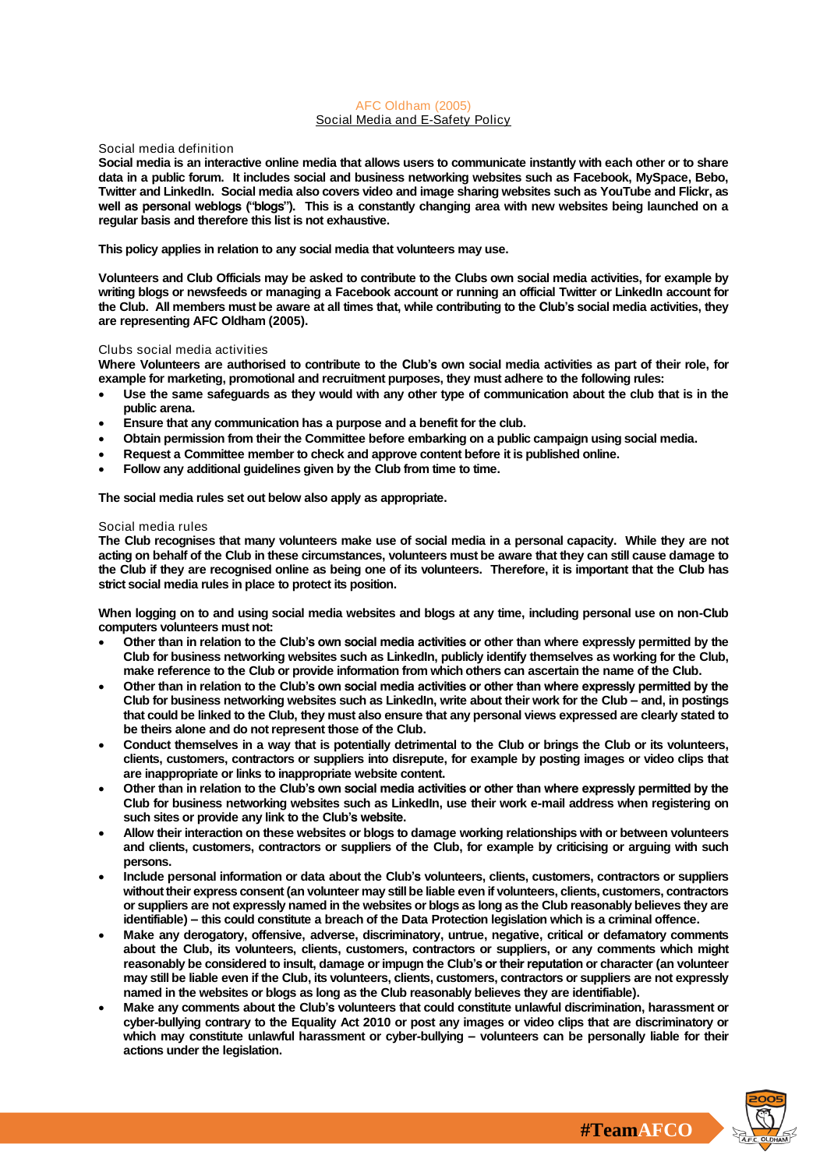## **AFC Oldham (2005) Social Media and E-Safety Policy**

# **Social media definition**

**Social media is an interactive online media that allows users to communicate instantly with each other or to share data in a public forum. It includes social and business networking websites such as Facebook, MySpace, Bebo, Twitter and LinkedIn. Social media also covers video and image sharing websites such as YouTube and Flickr, as well as personal weblogs ("blogs"). This is a constantly changing area with new websites being launched on a regular basis and therefore this list is not exhaustive.** 

**This policy applies in relation to any social media that volunteers may use.**

**Volunteers and Club Officials may be asked to contribute to the Clubs own social media activities, for example by writing blogs or newsfeeds or managing a Facebook account or running an official Twitter or LinkedIn account for the Club. All members must be aware at all times that, while contributing to the Club's social media activities, they are representing AFC Oldham (2005).** 

## **Clubs social media activities**

**Where Volunteers are authorised to contribute to the Club's own social media activities as part of their role, for example for marketing, promotional and recruitment purposes, they must adhere to the following rules:**

- **Use the same safeguards as they would with any other type of communication about the club that is in the public arena.**
- **Ensure that any communication has a purpose and a benefit for the club.**
- **Obtain permission from their the Committee before embarking on a public campaign using social media.**
- **Request a Committee member to check and approve content before it is published online.**
- **Follow any additional guidelines given by the Club from time to time.**

**The social media rules set out below also apply as appropriate.**

### **Social media rules**

**The Club recognises that many volunteers make use of social media in a personal capacity. While they are not acting on behalf of the Club in these circumstances, volunteers must be aware that they can still cause damage to the Club if they are recognised online as being one of its volunteers. Therefore, it is important that the Club has strict social media rules in place to protect its position.**

**When logging on to and using social media websites and blogs at any time, including personal use on non-Club computers volunteers must not:**

- **Other than in relation to the Club's own social media activities or other than where expressly permitted by the Club for business networking websites such as LinkedIn, publicly identify themselves as working for the Club, make reference to the Club or provide information from which others can ascertain the name of the Club.**
- **Other than in relation to the Club's own social media activities or other than where expressly permitted by the Club for business networking websites such as LinkedIn, write about their work for the Club – and, in postings that could be linked to the Club, they must also ensure that any personal views expressed are clearly stated to be theirs alone and do not represent those of the Club.**
- **Conduct themselves in a way that is potentially detrimental to the Club or brings the Club or its volunteers, clients, customers, contractors or suppliers into disrepute, for example by posting images or video clips that are inappropriate or links to inappropriate website content.**
- **Other than in relation to the Club's own social media activities or other than where expressly permitted by the Club for business networking websites such as LinkedIn, use their work e-mail address when registering on such sites or provide any link to the Club's website.**
- **Allow their interaction on these websites or blogs to damage working relationships with or between volunteers and clients, customers, contractors or suppliers of the Club, for example by criticising or arguing with such persons.**
- **Include personal information or data about the Club's volunteers, clients, customers, contractors or suppliers without their express consent (an volunteer may still be liable even if volunteers, clients, customers, contractors or suppliers are not expressly named in the websites or blogs as long as the Club reasonably believes they are identifiable) – this could constitute a breach of the Data Protection legislation which is a criminal offence.**
- **Make any derogatory, offensive, adverse, discriminatory, untrue, negative, critical or defamatory comments about the Club, its volunteers, clients, customers, contractors or suppliers, or any comments which might reasonably be considered to insult, damage or impugn the Club's or their reputation or character (an volunteer may still be liable even if the Club, its volunteers, clients, customers, contractors or suppliers are not expressly named in the websites or blogs as long as the Club reasonably believes they are identifiable).**
- **Make any comments about the Club's volunteers that could constitute unlawful discrimination, harassment or cyber-bullying contrary to the Equality Act 2010 or post any images or video clips that are discriminatory or which may constitute unlawful harassment or cyber-bullying – volunteers can be personally liable for their actions under the legislation.**

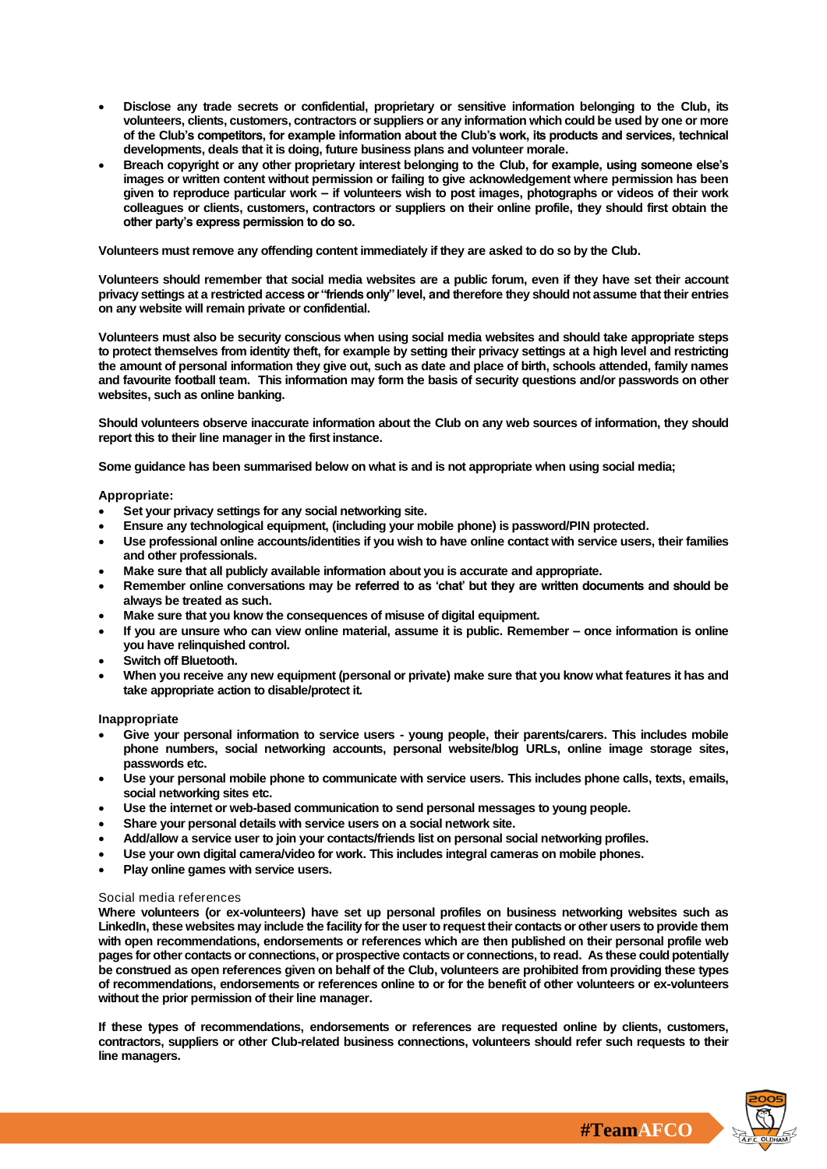- **Disclose any trade secrets or confidential, proprietary or sensitive information belonging to the Club, its volunteers, clients, customers, contractors or suppliers or any information which could be used by one or more of the Club's competitors, for example information about the Club's work, its products and services, technical developments, deals that it is doing, future business plans and volunteer morale.**
- **Breach copyright or any other proprietary interest belonging to the Club, for example, using someone else's images or written content without permission or failing to give acknowledgement where permission has been given to reproduce particular work – if volunteers wish to post images, photographs or videos of their work colleagues or clients, customers, contractors or suppliers on their online profile, they should first obtain the other party's express permission to do so.**

**Volunteers must remove any offending content immediately if they are asked to do so by the Club.**

**Volunteers should remember that social media websites are a public forum, even if they have set their account privacy settings at a restricted access or "friends only" level, and therefore they should not assume that their entries on any website will remain private or confidential.**

**Volunteers must also be security conscious when using social media websites and should take appropriate steps to protect themselves from identity theft, for example by setting their privacy settings at a high level and restricting the amount of personal information they give out, such as date and place of birth, schools attended, family names and favourite football team. This information may form the basis of security questions and/or passwords on other websites, such as online banking.**

**Should volunteers observe inaccurate information about the Club on any web sources of information, they should report this to their line manager in the first instance.**

**Some guidance has been summarised below on what is and is not appropriate when using social media;**

### *Appropriate:*

- **Set your privacy settings for any social networking site.**
- **Ensure any technological equipment, (including your mobile phone) is password/PIN protected.**
- **Use professional online accounts/identities if you wish to have online contact with service users, their families and other professionals.**
- **Make sure that all publicly available information about you is accurate and appropriate.**
- **Remember online conversations may be referred to as 'chat' but they are written documents and should be always be treated as such.**
- **Make sure that you know the consequences of misuse of digital equipment.**
- **If you are unsure who can view online material, assume it is public. Remember – once information is online you have relinquished control.**
- **Switch off Bluetooth.**
- **When you receive any new equipment (personal or private) make sure that you know what features it has and take appropriate action to disable/protect it.**

*Inappropriate*

- **Give your personal information to service users - young people, their parents/carers. This includes mobile phone numbers, social networking accounts, personal website/blog URLs, online image storage sites, passwords etc.**
- **Use your personal mobile phone to communicate with service users. This includes phone calls, texts, emails, social networking sites etc.**
- **Use the internet or web-based communication to send personal messages to young people.**
- **Share your personal details with service users on a social network site.**
- **Add/allow a service user to join your contacts/friends list on personal social networking profiles.**
- **Use your own digital camera/video for work. This includes integral cameras on mobile phones.**
- **Play online games with service users.**

### **Social media references**

**Where volunteers (or ex-volunteers) have set up personal profiles on business networking websites such as LinkedIn, these websites may include the facility for the user to request their contacts or other users to provide them with open recommendations, endorsements or references which are then published on their personal profile web pages for other contacts or connections, or prospective contacts or connections, to read. As these could potentially be construed as open references given on behalf of the Club, volunteers are prohibited from providing these types of recommendations, endorsements or references online to or for the benefit of other volunteers or ex-volunteers without the prior permission of their line manager.** 

**If these types of recommendations, endorsements or references are requested online by clients, customers, contractors, suppliers or other Club-related business connections, volunteers should refer such requests to their line managers.**